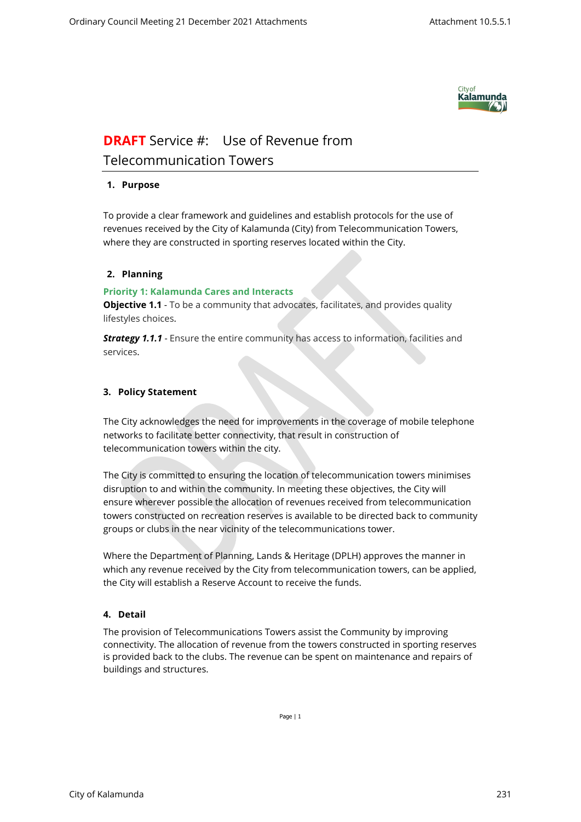

# **DRAFT** Service #: Use of Revenue from Telecommunication Towers

## **1. Purpose**

To provide a clear framework and guidelines and establish protocols for the use of revenues received by the City of Kalamunda (City) from Telecommunication Towers, where they are constructed in sporting reserves located within the City.

## **2. Planning**

#### **Priority 1: Kalamunda Cares and Interacts**

**Objective 1.1** - To be a community that advocates, facilitates, and provides quality lifestyles choices.

**Strategy 1.1.1** - Ensure the entire community has access to information, facilities and services.

## **3. Policy Statement**

The City acknowledges the need for improvements in the coverage of mobile telephone networks to facilitate better connectivity, that result in construction of telecommunication towers within the city.

The City is committed to ensuring the location of telecommunication towers minimises disruption to and within the community. In meeting these objectives, the City will ensure wherever possible the allocation of revenues received from telecommunication towers constructed on recreation reserves is available to be directed back to community groups or clubs in the near vicinity of the telecommunications tower.

Where the Department of Planning, Lands & Heritage (DPLH) approves the manner in which any revenue received by the City from telecommunication towers, can be applied, the City will establish a Reserve Account to receive the funds.

# **4. Detail**

The provision of Telecommunications Towers assist the Community by improving connectivity. The allocation of revenue from the towers constructed in sporting reserves is provided back to the clubs. The revenue can be spent on maintenance and repairs of buildings and structures.

Page | 1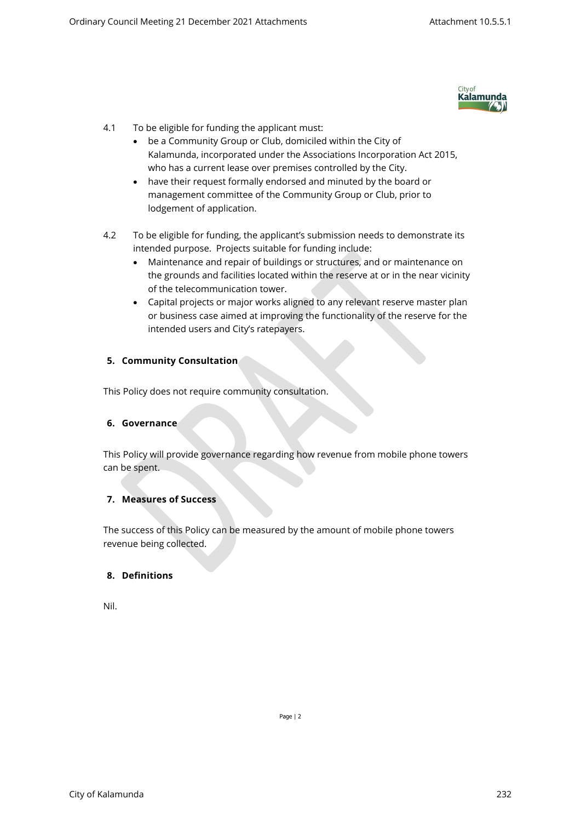

- 4.1 To be eligible for funding the applicant must:
	- be a Community Group or Club, domiciled within the City of Kalamunda, incorporated under the Associations Incorporation Act 2015, who has a current lease over premises controlled by the City.
	- have their request formally endorsed and minuted by the board or management committee of the Community Group or Club, prior to lodgement of application.
- 4.2 To be eligible for funding, the applicant's submission needs to demonstrate its intended purpose. Projects suitable for funding include:
	- Maintenance and repair of buildings or structures, and or maintenance on the grounds and facilities located within the reserve at or in the near vicinity of the telecommunication tower.
	- Capital projects or major works aligned to any relevant reserve master plan or business case aimed at improving the functionality of the reserve for the intended users and City's ratepayers.

#### **5. Community Consultation**

This Policy does not require community consultation.

#### **6. Governance**

This Policy will provide governance regarding how revenue from mobile phone towers can be spent.

## **7. Measures of Success**

The success of this Policy can be measured by the amount of mobile phone towers revenue being collected.

#### **8. Definitions**

Nil.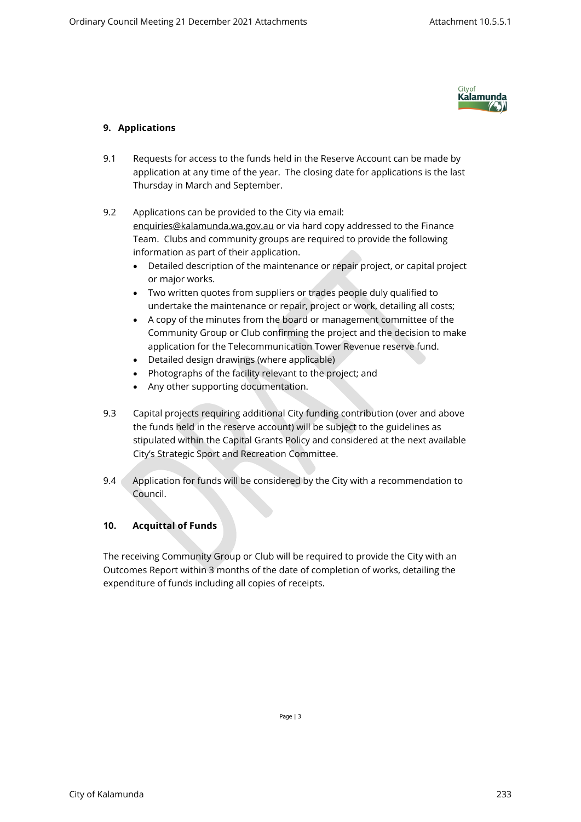

# **9. Applications**

- 9.1 Requests for access to the funds held in the Reserve Account can be made by application at any time of the year. The closing date for applications is the last Thursday in March and September.
- 9.2 Applications can be provided to the City via email: [enquiries@kalamunda.wa.gov.au](mailto:enquiries@kalamunda.wa.gov.au) or via hard copy addressed to the Finance Team. Clubs and community groups are required to provide the following information as part of their application.
	- Detailed description of the maintenance or repair project, or capital project or major works.
	- Two written quotes from suppliers or trades people duly qualified to undertake the maintenance or repair, project or work, detailing all costs;
	- A copy of the minutes from the board or management committee of the Community Group or Club confirming the project and the decision to make application for the Telecommunication Tower Revenue reserve fund.
	- Detailed design drawings (where applicable)
	- Photographs of the facility relevant to the project; and
	- Any other supporting documentation.
- 9.3 Capital projects requiring additional City funding contribution (over and above the funds held in the reserve account) will be subject to the guidelines as stipulated within the Capital Grants Policy and considered at the next available City's Strategic Sport and Recreation Committee.
- 9.4 Application for funds will be considered by the City with a recommendation to Council.

# **10. Acquittal of Funds**

The receiving Community Group or Club will be required to provide the City with an Outcomes Report within 3 months of the date of completion of works, detailing the expenditure of funds including all copies of receipts.